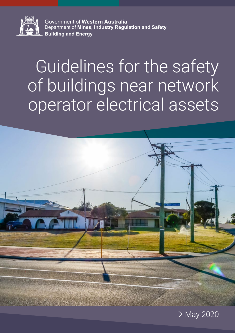

Government of **Western Australia** Department of **Mines, Industry Regulation and Safety Building and Energy**

# Guidelines for the safety of buildings near network operator electrical assets



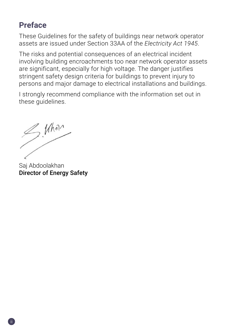# <span id="page-1-0"></span>**Preface**

These Guidelines for the safety of buildings near network operator assets are issued under Section 33AA of the *Electricity Act 1945*.

The risks and potential consequences of an electrical incident involving building encroachments too near network operator assets are significant, especially for high voltage. The danger justifies stringent safety design criteria for buildings to prevent injury to persons and major damage to electrical installations and buildings.

I strongly recommend compliance with the information set out in these guidelines.

 $\frac{1}{\sqrt{1-\frac{1}{1-\frac{1}{1-\frac{1}{1-\frac{1}{1-\frac{1}{1-\frac{1}{1-\frac{1}{1-\frac{1}{1-\frac{1}{1-\frac{1}{1-\frac{1}{1-\frac{1}{1-\frac{1}{1-\frac{1}{1-\frac{1}{1-\frac{1}{1-\frac{1}{1-\frac{1}{1-\frac{1}{1-\frac{1}{1-\frac{1}{1-\frac{1}{1-\frac{1}{1-\frac{1}{1-\frac{1}{1-\frac{1}{1-\frac{1}{1-\frac{1}{1-\frac{1}{1-\frac{1}{1-\frac{1}{1-\frac{1}{1-\frac{1}{1-\frac{1}{1-\frac{1}{1-\$ 

Saj Abdoolakhan Director of Energy Safety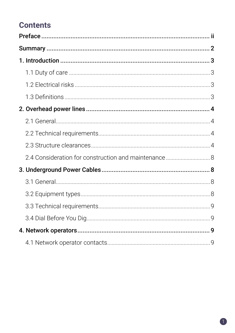# **Contents**

| 2.4 Consideration for construction and maintenance  8 |  |
|-------------------------------------------------------|--|
|                                                       |  |
|                                                       |  |
|                                                       |  |
|                                                       |  |
|                                                       |  |
|                                                       |  |
|                                                       |  |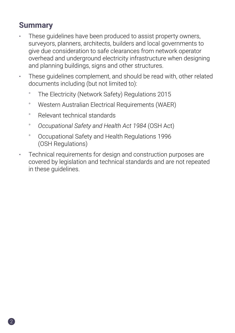# <span id="page-3-0"></span>**Summary**

- These guidelines have been produced to assist property owners, surveyors, planners, architects, builders and local governments to give due consideration to safe clearances from network operator overhead and underground electricity infrastructure when designing and planning buildings, signs and other structures.
- These guidelines complement, and should be read with, other related documents including (but not limited to):
	- ° The Electricity (Network Safety) Regulations 2015
	- ° Western Australian Electrical Requirements (WAER)
	- ° Relevant technical standards
	- ° *Occupational Safety and Health Act 1984* (OSH Act)
	- ° Occupational Safety and Health Regulations 1996 (OSH Regulations)
- Technical requirements for design and construction purposes are covered by legislation and technical standards and are not repeated in these guidelines.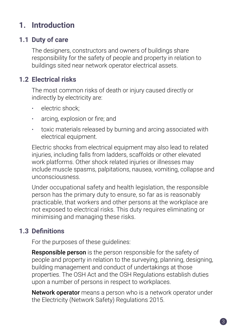# <span id="page-4-0"></span>**1. Introduction**

## **1.1 Duty of care**

The designers, constructors and owners of buildings share responsibility for the safety of people and property in relation to buildings sited near network operator electrical assets.

## **1.2 Electrical risks**

The most common risks of death or injury caused directly or indirectly by electricity are:

- electric shock:
- arcing, explosion or fire; and
- toxic materials released by burning and arcing associated with electrical equipment.

Electric shocks from electrical equipment may also lead to related injuries, including falls from ladders, scaffolds or other elevated work platforms. Other shock related injuries or illnesses may include muscle spasms, palpitations, nausea, vomiting, collapse and unconsciousness.

Under occupational safety and health legislation, the responsible person has the primary duty to ensure, so far as is reasonably practicable, that workers and other persons at the workplace are not exposed to electrical risks. This duty requires eliminating or minimising and managing these risks.

## **1.3 Definitions**

For the purposes of these guidelines:

**Responsible person** is the person responsible for the safety of people and property in relation to the surveying, planning, designing, building management and conduct of undertakings at those properties. The OSH Act and the OSH Regulations establish duties upon a number of persons in respect to workplaces.

Network operator means a person who is a network operator under the Electricity (Network Safety) Regulations 2015.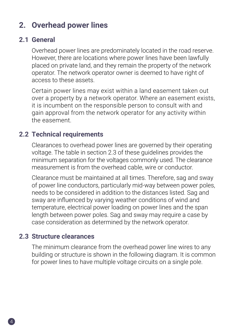# <span id="page-5-0"></span>**2. Overhead power lines**

#### **2.1 General**

Overhead power lines are predominately located in the road reserve. However, there are locations where power lines have been lawfully placed on private land, and they remain the property of the network operator. The network operator owner is deemed to have right of access to these assets.

Certain power lines may exist within a land easement taken out over a property by a network operator. Where an easement exists, it is incumbent on the responsible person to consult with and gain approval from the network operator for any activity within the easement.

#### **2.2 Technical requirements**

Clearances to overhead power lines are governed by their operating voltage. The table in section 2.3 of these guidelines provides the minimum separation for the voltages commonly used. The clearance measurement is from the overhead cable, wire or conductor.

Clearance must be maintained at all times. Therefore, sag and sway of power line conductors, particularly mid-way between power poles, needs to be considered in addition to the distances listed. Sag and sway are influenced by varying weather conditions of wind and temperature, electrical power loading on power lines and the span length between power poles. Sag and sway may require a case by case consideration as determined by the network operator.

#### **2.3 Structure clearances**

The minimum clearance from the overhead power line wires to any building or structure is shown in the following diagram. It is common for power lines to have multiple voltage circuits on a single pole.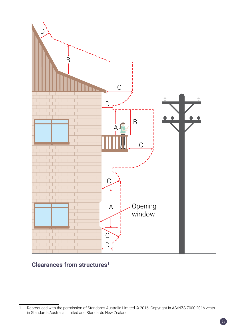

#### **Clearances from structures1**

<sup>1</sup> Reproduced with the permission of Standards Australia Limited © 2016. Copyright in AS/NZS 7000:2016 vests in Standards Australia Limited and Standards New Zealand.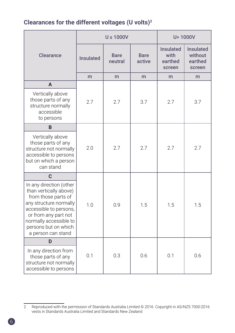#### **Clearances for the different voltages (U volts)2**

|                                                                                                                                                                                                                              | $U \leq 1000V$   |                        | U > 1000V             |                                               |                                                  |
|------------------------------------------------------------------------------------------------------------------------------------------------------------------------------------------------------------------------------|------------------|------------------------|-----------------------|-----------------------------------------------|--------------------------------------------------|
| Clearance                                                                                                                                                                                                                    | <b>Insulated</b> | <b>Bare</b><br>neutral | <b>Bare</b><br>active | <b>Insulated</b><br>with<br>earthed<br>screen | <b>Insulated</b><br>without<br>earthed<br>screen |
|                                                                                                                                                                                                                              | m                | m                      | m                     | m                                             | m                                                |
| A                                                                                                                                                                                                                            |                  |                        |                       |                                               |                                                  |
| Vertically above<br>those parts of any<br>structure normally<br>accessible<br>to persons                                                                                                                                     | 2.7              | 2.7                    | 3.7                   | 2.7                                           | 3.7                                              |
| B                                                                                                                                                                                                                            |                  |                        |                       |                                               |                                                  |
| Vertically above<br>those parts of any<br>structure not normally<br>accessible to persons<br>but on which a person<br>can stand                                                                                              | 2.0              | 2.7                    | 2.7                   | 2.7                                           | 2.7                                              |
| C                                                                                                                                                                                                                            |                  |                        |                       |                                               |                                                  |
| In any direction (other<br>than vertically above)<br>from those parts of<br>any structure normally<br>accessible to persons,<br>or from any part not<br>normally accessible to<br>persons but on which<br>a person can stand | 1 <sub>0</sub>   | 0.9                    | 1.5                   | 1.5                                           | 1.5                                              |
| D                                                                                                                                                                                                                            |                  |                        |                       |                                               |                                                  |
| In any direction from<br>those parts of any<br>structure not normally<br>accessible to persons                                                                                                                               | 0.1              | 0.3                    | 0.6                   | 0.1                                           | 0.6                                              |

<sup>2</sup> Reproduced with the permission of Standards Australia Limited © 2016. Copyright in AS/NZS 7000:2016 vests in Standards Australia Limited and Standards New Zealand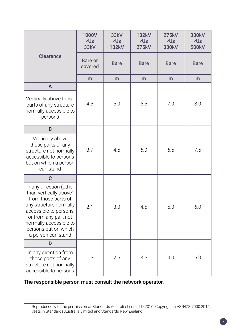|                                                                                                                                                                                                                              | 1000V<br>$< U \le$<br>33kV | 33kV<br><u≤<br><b>132kV</b></u≤<br> | <b>132kV</b><br><u≤<br><b>275kV</b></u≤<br> | <b>275kV</b><br><u≤<br>330kV</u≤<br> | 330kV<br><u≤<br>500kV</u≤<br> |
|------------------------------------------------------------------------------------------------------------------------------------------------------------------------------------------------------------------------------|----------------------------|-------------------------------------|---------------------------------------------|--------------------------------------|-------------------------------|
| <b>Clearance</b>                                                                                                                                                                                                             | <b>Bare or</b><br>covered  | <b>Bare</b>                         | <b>Bare</b>                                 | <b>Bare</b>                          | <b>Bare</b>                   |
|                                                                                                                                                                                                                              | m                          | m                                   | m                                           | m                                    | m                             |
| A                                                                                                                                                                                                                            |                            |                                     |                                             |                                      |                               |
| Vertically above those<br>parts of any structure<br>normally accessible to<br>persons                                                                                                                                        | 4.5                        | 5.0                                 | 6.5                                         | 7.0                                  | 8.0                           |
| B                                                                                                                                                                                                                            |                            |                                     |                                             |                                      |                               |
| Vertically above<br>those parts of any<br>structure not normally<br>accessible to persons<br>but on which a person<br>can stand                                                                                              | 3.7                        | 4.5                                 | 6.0                                         | 6.5                                  | 7.5                           |
| C                                                                                                                                                                                                                            |                            |                                     |                                             |                                      |                               |
| In any direction (other<br>than vertically above)<br>from those parts of<br>any structure normally<br>accessible to persons,<br>or from any part not<br>normally accessible to<br>persons but on which<br>a person can stand | 2.1                        | 3.0                                 | 4.5                                         | 5.0                                  | 6.0                           |
| D                                                                                                                                                                                                                            |                            |                                     |                                             |                                      |                               |
| In any direction from<br>those parts of any<br>structure not normally<br>accessible to persons                                                                                                                               | 1.5                        | 2.5                                 | 3.5                                         | 4.0                                  | 5.0                           |

#### The responsible person must consult the network operator.

Reproduced with the permission of Standards Australia Limited © 2016. Copyright in AS/NZS 7000:2016 vests in Standards Australia Limited and Standards New Zealand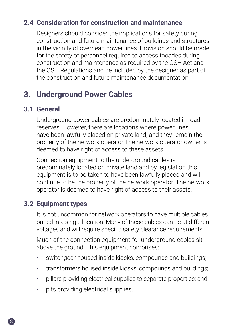## <span id="page-9-0"></span>**2.4 Consideration for construction and maintenance**

Designers should consider the implications for safety during construction and future maintenance of buildings and structures in the vicinity of overhead power lines. Provision should be made for the safety of personnel required to access facades during construction and maintenance as required by the OSH Act and the OSH Regulations and be included by the designer as part of the construction and future maintenance documentation.

# **3. Underground Power Cables**

#### **3.1 General**

Underground power cables are predominately located in road reserves. However, there are locations where power lines have been lawfully placed on private land, and they remain the property of the network operator The network operator owner is deemed to have right of access to these assets.

Connection equipment to the underground cables is predominately located on private land and by legislation this equipment is to be taken to have been lawfully placed and will continue to be the property of the network operator. The network operator is deemed to have right of access to their assets.

#### **3.2 Equipment types**

It is not uncommon for network operators to have multiple cables buried in a single location. Many of these cables can be at different voltages and will require specific safety clearance requirements.

Much of the connection equipment for underground cables sit above the ground. This equipment comprises:

- switchgear housed inside kiosks, compounds and buildings;
- transformers housed inside kiosks, compounds and buildings;
- pillars providing electrical supplies to separate properties; and
- pits providing electrical supplies.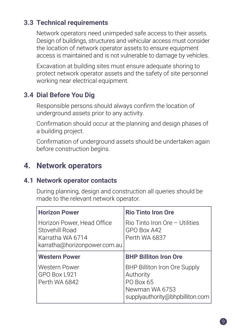## <span id="page-10-0"></span>**3.3 Technical requirements**

Network operators need unimpeded safe access to their assets. Design of buildings, structures and vehicular access must consider the location of network operator assets to ensure equipment access is maintained and is not vulnerable to damage by vehicles.

Excavation at building sites must ensure adequate shoring to protect network operator assets and the safety of site personnel working near electrical equipment.

## **3.4 Dial Before You Dig**

Responsible persons should always confirm the location of underground assets prior to any activity.

Confirmation should occur at the planning and design phases of a building project.

Confirmation of underground assets should be undertaken again before construction begins.

# **4. Network operators**

#### **4.1 Network operator contacts**

During planning, design and construction all queries should be made to the relevant network operator.

| <b>Horizon Power</b>                                                                             | <b>Rio Tinto Iron Ore</b>                                                                                   |
|--------------------------------------------------------------------------------------------------|-------------------------------------------------------------------------------------------------------------|
| Horizon Power, Head Office<br>Stovehill Road<br>Karratha WA 6714<br>karratha@horizonpower.com.au | $\rm R$ io Tinto Iron Ore - Utilities<br>GPO Box A42<br>Perth WA 6837                                       |
| Western Power                                                                                    | <b>BHP Billiton Iron Ore</b>                                                                                |
| Western Power<br>GPO Box L921<br>Perth WA 6842                                                   | BHP Billiton Iron Ore Supply<br>Authority<br>PO Box 65<br>Newman WA 6753<br>supplyauthority@bhpbilliton.com |